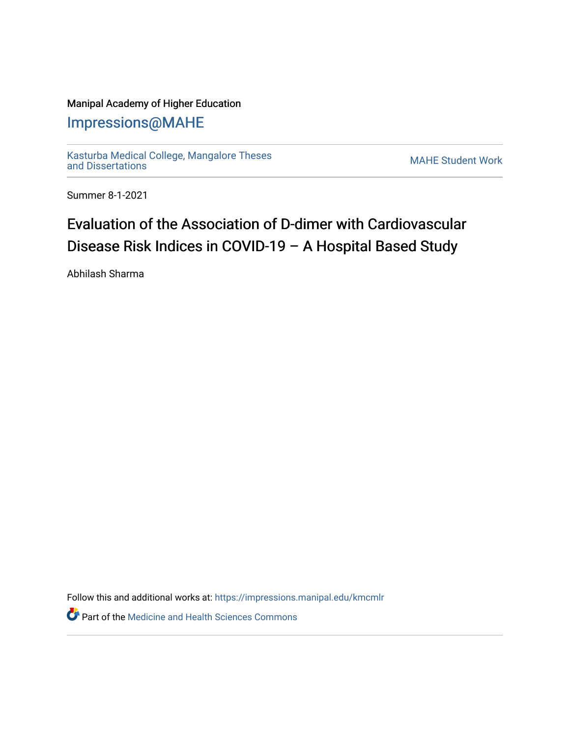#### Manipal Academy of Higher Education

### [Impressions@MAHE](https://impressions.manipal.edu/)

[Kasturba Medical College, Mangalore Theses](https://impressions.manipal.edu/kmcmlr) [and Dissertations](https://impressions.manipal.edu/kmcmlr) [MAHE Student Work](https://impressions.manipal.edu/student-work) 

Summer 8-1-2021

# Evaluation of the Association of D-dimer with Cardiovascular Disease Risk Indices in COVID-19 – A Hospital Based Study

Abhilash Sharma

Follow this and additional works at: [https://impressions.manipal.edu/kmcmlr](https://impressions.manipal.edu/kmcmlr?utm_source=impressions.manipal.edu%2Fkmcmlr%2F237&utm_medium=PDF&utm_campaign=PDFCoverPages) 

**Part of the Medicine and Health Sciences Commons**